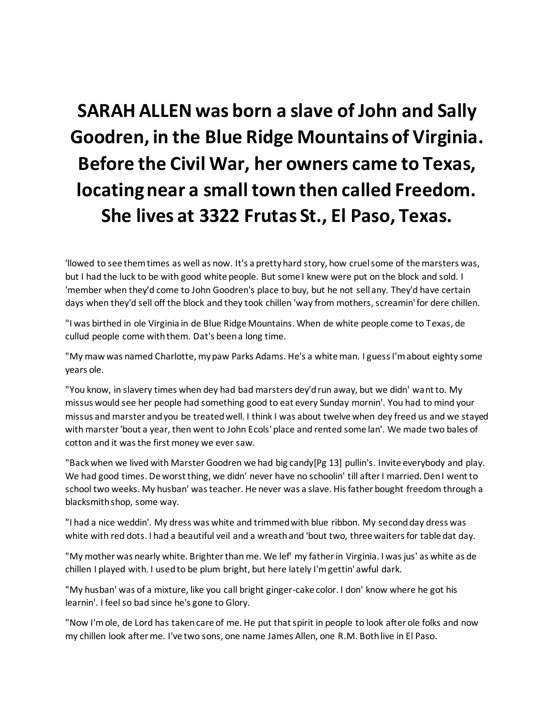## **SARAH ALLEN was born a slave of John and Sally Goodren, in the Blue Ridge Mountains of Virginia. Before the Civil War, her owners came to Texas, locating near a small town then called Freedom. She lives at 3322 Frutas St., El Paso, Texas.**

'llowed to see them times as well as now. It's a pretty hard story, how cruel some of the marsters was, but I had the luck to be with good white people. But some I knew were put on the block and sold. I 'member when they'd come to John Goodren's place to buy, but he not sell any. They'd have certain days when they'd sell off the block and they took chillen 'way from mothers, screamin' for dere chillen.

"I was birthed in ole Virginia in de Blue Ridge Mountains. When de white people come to Texas, de cullud people come with them. Dat's been a long time.

"My maw was named Charlotte, my paw Parks Adams. He's a white man. I guess I'm about eighty some years ole.

"You know, in slavery times when dey had bad marsters dey'd run away, but we didn' want to. My missus would see her people had something good to eat every Sunday mornin'. You had to mind your missus and marster and you be treated well. I think I was about twelve when dey freed us and we stayed with marster 'bout a year, then went to John Ecols' place and rented some lan'. We made two bales of cotton and it was the first money we ever saw.

"Back when we lived with Marster Goodren we had big candy[Pg 13] pullin's. Invite everybody and play. We had good times. De worst thing, we didn' never have no schoolin' till after I married. Den I went to school two weeks. My husban' was teacher. He never was a slave. His father bought freedom through a blacksmith shop, some way.

"I had a nice weddin'. My dress was white and trimmed with blue ribbon. My second day dress was white with red dots. I had a beautiful veil and a wreath and 'bout two, three waiters for table dat day.

"My mother was nearly white. Brighter than me. We lef' my father in Virginia. I was jus' as white as de chillen I played with. I used to be plum bright, but here lately I'm gettin' awful dark.

"My husban' was of a mixture, like you call bright ginger-cake color. I don' know where he got his learnin'. I feel so bad since he's gone to Glory.

"Now I'm ole, de Lord has taken care of me. He put that spirit in people to look after ole folks and now my chillen look after me. I've two sons, one name James Allen, one R.M. Both live in El Paso.